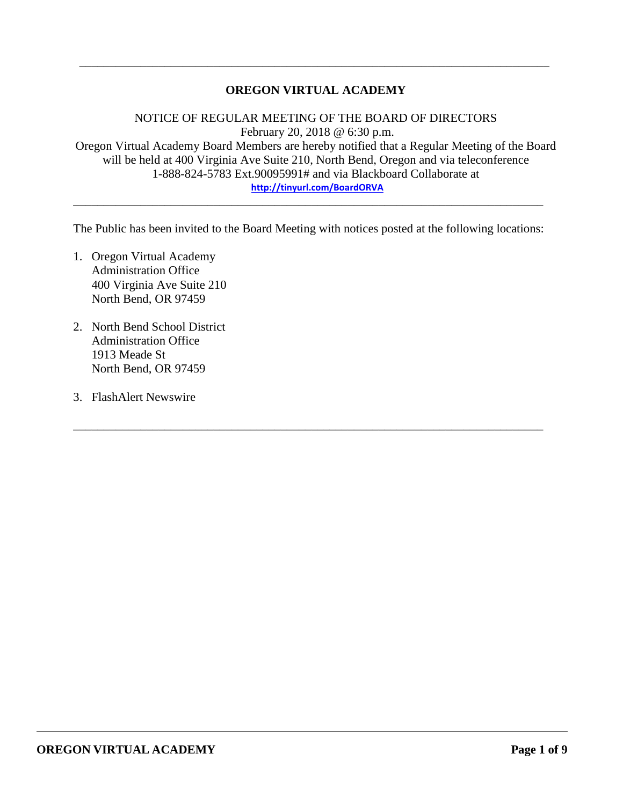## **OREGON VIRTUAL ACADEMY**

\_\_\_\_\_\_\_\_\_\_\_\_\_\_\_\_\_\_\_\_\_\_\_\_\_\_\_\_\_\_\_\_\_\_\_\_\_\_\_\_\_\_\_\_\_\_\_\_\_\_\_\_\_\_\_\_\_\_\_\_\_\_\_\_\_\_\_\_\_\_\_\_\_\_\_\_\_

NOTICE OF REGULAR MEETING OF THE BOARD OF DIRECTORS February 20, 2018 @ 6:30 p.m. Oregon Virtual Academy Board Members are hereby notified that a Regular Meeting of the Board will be held at 400 Virginia Ave Suite 210, North Bend, Oregon and via teleconference 1-888-824-5783 Ext.90095991# and via Blackboard Collaborate at **<http://tinyurl.com/BoardORVA>**

The Public has been invited to the Board Meeting with notices posted at the following locations:

\_\_\_\_\_\_\_\_\_\_\_\_\_\_\_\_\_\_\_\_\_\_\_\_\_\_\_\_\_\_\_\_\_\_\_\_\_\_\_\_\_\_\_\_\_\_\_\_\_\_\_\_\_\_\_\_\_\_\_\_\_\_\_\_\_\_\_\_\_\_\_\_\_\_\_\_\_

\_\_\_\_\_\_\_\_\_\_\_\_\_\_\_\_\_\_\_\_\_\_\_\_\_\_\_\_\_\_\_\_\_\_\_\_\_\_\_\_\_\_\_\_\_\_\_\_\_\_\_\_\_\_\_\_\_\_\_\_\_\_\_\_\_\_\_\_\_\_\_\_\_\_\_\_\_

- 1. Oregon Virtual Academy Administration Office 400 Virginia Ave Suite 210 North Bend, OR 97459
- 2. North Bend School District Administration Office 1913 Meade St North Bend, OR 97459
- 3. FlashAlert Newswire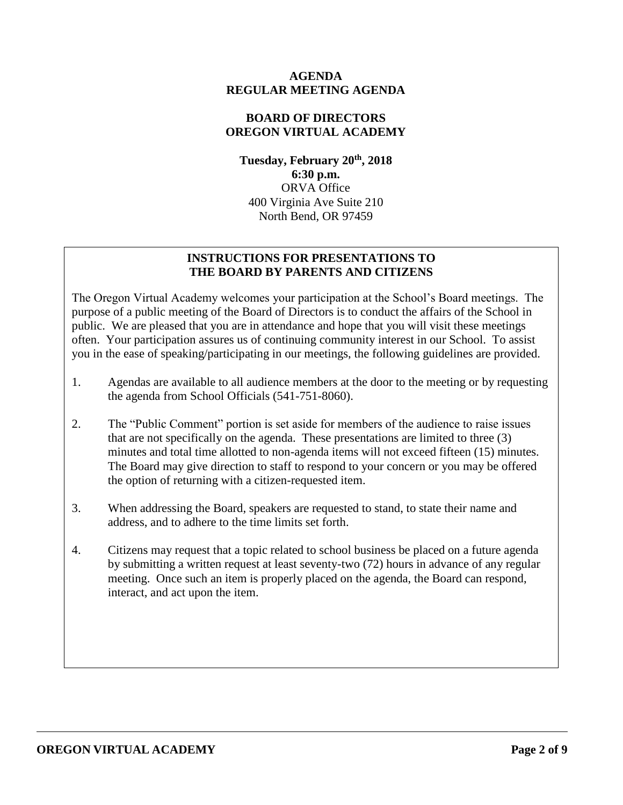### **AGENDA REGULAR MEETING AGENDA**

## **BOARD OF DIRECTORS OREGON VIRTUAL ACADEMY**

**Tuesday, February 20th , 2018 6:30 p.m.** ORVA Office 400 Virginia Ave Suite 210 North Bend, OR 97459

## **INSTRUCTIONS FOR PRESENTATIONS TO THE BOARD BY PARENTS AND CITIZENS**

The Oregon Virtual Academy welcomes your participation at the School's Board meetings. The purpose of a public meeting of the Board of Directors is to conduct the affairs of the School in public. We are pleased that you are in attendance and hope that you will visit these meetings often. Your participation assures us of continuing community interest in our School. To assist you in the ease of speaking/participating in our meetings, the following guidelines are provided.

- 1. Agendas are available to all audience members at the door to the meeting or by requesting the agenda from School Officials (541-751-8060).
- 2. The "Public Comment" portion is set aside for members of the audience to raise issues that are not specifically on the agenda. These presentations are limited to three (3) minutes and total time allotted to non-agenda items will not exceed fifteen (15) minutes. The Board may give direction to staff to respond to your concern or you may be offered the option of returning with a citizen-requested item.
- 3. When addressing the Board, speakers are requested to stand, to state their name and address, and to adhere to the time limits set forth.
- 4. Citizens may request that a topic related to school business be placed on a future agenda by submitting a written request at least seventy-two (72) hours in advance of any regular meeting. Once such an item is properly placed on the agenda, the Board can respond, interact, and act upon the item.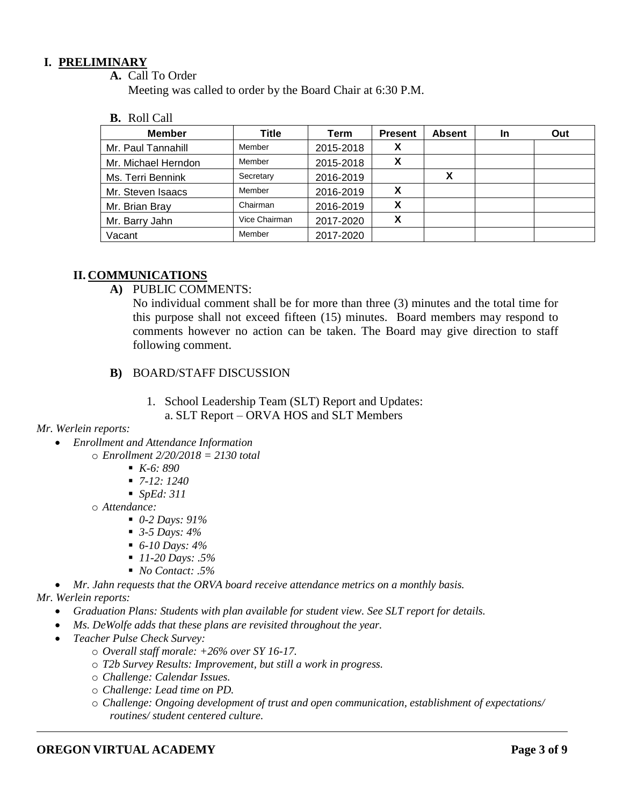## **I. PRELIMINARY**

**A.** Call To Order

Meeting was called to order by the Board Chair at 6:30 P.M.

**B.** Roll Call

| <b>Member</b>       | Title         | Term      | <b>Present</b>                 | <b>Absent</b> | In | Out |
|---------------------|---------------|-----------|--------------------------------|---------------|----|-----|
| Mr. Paul Tannahill  | Member        | 2015-2018 | X                              |               |    |     |
| Mr. Michael Herndon | Member        | 2015-2018 | v<br>Λ                         |               |    |     |
| Ms. Terri Bennink   | Secretary     | 2016-2019 |                                | v             |    |     |
| Mr. Steven Isaacs   | Member        | 2016-2019 | х                              |               |    |     |
| Mr. Brian Bray      | Chairman      | 2016-2019 | X                              |               |    |     |
| Mr. Barry Jahn      | Vice Chairman | 2017-2020 | v<br>$\boldsymbol{\mathsf{A}}$ |               |    |     |
| Vacant              | Member        | 2017-2020 |                                |               |    |     |

## **II. COMMUNICATIONS**

**A)** PUBLIC COMMENTS:

No individual comment shall be for more than three (3) minutes and the total time for this purpose shall not exceed fifteen (15) minutes. Board members may respond to comments however no action can be taken. The Board may give direction to staff following comment.

- **B)** BOARD/STAFF DISCUSSION
	- 1. School Leadership Team (SLT) Report and Updates:
		- a. SLT Report ORVA HOS and SLT Members

### *Mr. Werlein reports:*

- *Enrollment and Attendance Information* o *Enrollment 2/20/2018 = 2130 total*
	- *K-6: 890*
	- *7-12: 1240*
	- *SpEd: 311*
	- o *Attendance:*
		- *0-2 Days: 91%*
		- *3-5 Days: 4%*
		- *6-10 Days: 4%*
		- *11-20 Days: .5%*
		- *No Contact: .5%*

 *Mr. Jahn requests that the ORVA board receive attendance metrics on a monthly basis. Mr. Werlein reports:*

- *Graduation Plans: Students with plan available for student view. See SLT report for details.*
- *Ms. DeWolfe adds that these plans are revisited throughout the year.*
- *Teacher Pulse Check Survey:*
	- o *Overall staff morale: +26% over SY 16-17.*
	- o *T2b Survey Results: Improvement, but still a work in progress.*
	- o *Challenge: Calendar Issues.*
	- o *Challenge: Lead time on PD.*
	- o *Challenge: Ongoing development of trust and open communication, establishment of expectations/ routines/ student centered culture.*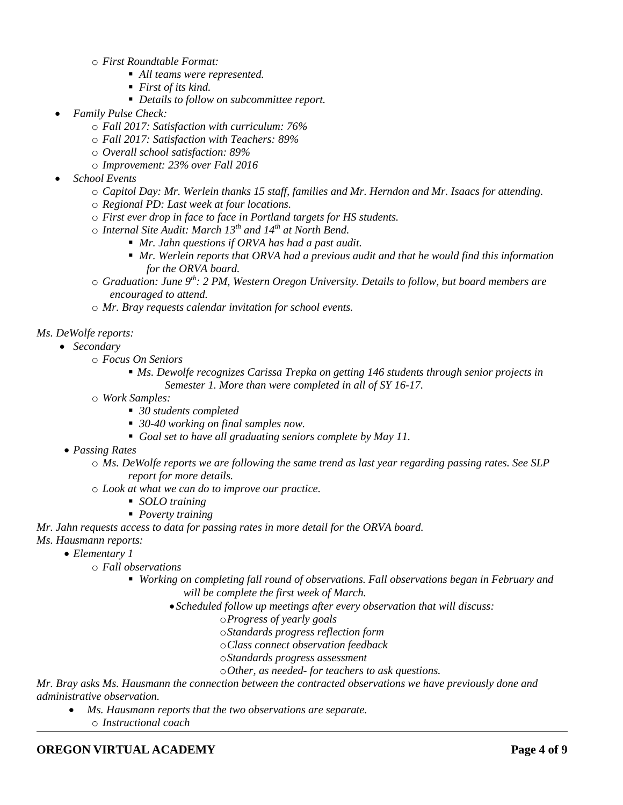o *First Roundtable Format:*

- *All teams were represented.*
- *First of its kind.*
- *Details to follow on subcommittee report.*
- *Family Pulse Check:*
	- o *Fall 2017: Satisfaction with curriculum: 76%*
	- o *Fall 2017: Satisfaction with Teachers: 89%*
	- o *Overall school satisfaction: 89%*
	- o *Improvement: 23% over Fall 2016*
- *School Events*
	- o *Capitol Day: Mr. Werlein thanks 15 staff, families and Mr. Herndon and Mr. Isaacs for attending.*
	- o *Regional PD: Last week at four locations.*
	- o *First ever drop in face to face in Portland targets for HS students.*
	- o *Internal Site Audit: March 13th and 14th at North Bend.*
		- *Mr. Jahn questions if ORVA has had a past audit.*
		- *Mr. Werlein reports that ORVA had a previous audit and that he would find this information for the ORVA board.*
	- o *Graduation: June 9th: 2 PM, Western Oregon University. Details to follow, but board members are encouraged to attend.*
	- o *Mr. Bray requests calendar invitation for school events.*

#### *Ms. DeWolfe reports:*

- *Secondary*
	- o *Focus On Seniors*
		- *Ms. Dewolfe recognizes Carissa Trepka on getting 146 students through senior projects in Semester 1. More than were completed in all of SY 16-17.*
	- o *Work Samples:*
		- *30 students completed*
		- *30-40 working on final samples now.*
		- *Goal set to have all graduating seniors complete by May 11.*
	- *Passing Rates*
		- o *Ms. DeWolfe reports we are following the same trend as last year regarding passing rates. See SLP report for more details.*
		- o *Look at what we can do to improve our practice.*
			- *SOLO training*
			- *Poverty training*
- *Mr. Jahn requests access to data for passing rates in more detail for the ORVA board.*
- *Ms. Hausmann reports:*
	- *Elementary 1*
		- o *Fall observations*
			- *Working on completing fall round of observations. Fall observations began in February and will be complete the first week of March.*
				- *Scheduled follow up meetings after every observation that will discuss:*
					- o*Progress of yearly goals*
					- o*Standards progress reflection form*
					- o*Class connect observation feedback*
					- o*Standards progress assessment*
					- o*Other, as needed- for teachers to ask questions.*

*Mr. Bray asks Ms. Hausmann the connection between the contracted observations we have previously done and administrative observation.* 

 *Ms. Hausmann reports that the two observations are separate.*  o *Instructional coach*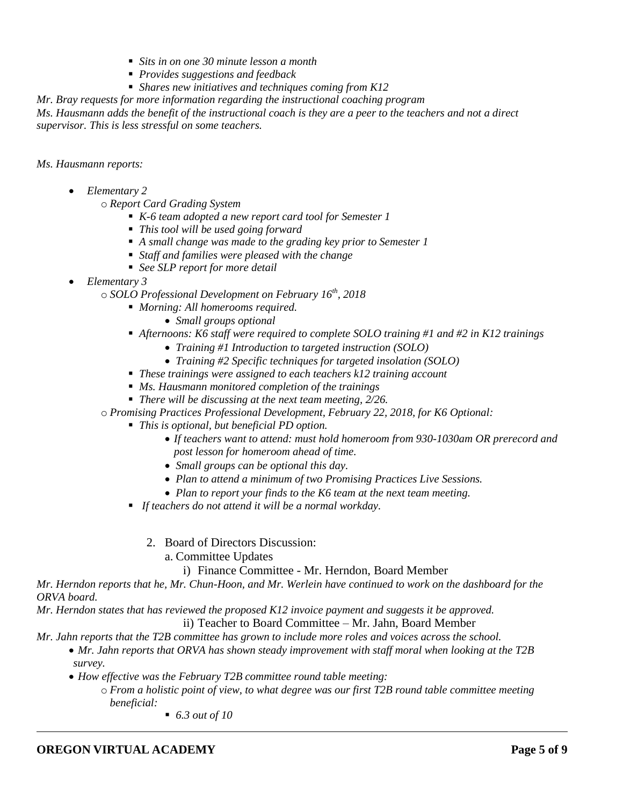- *Sits in on one 30 minute lesson a month*
- *Provides suggestions and feedback*
- *Shares new initiatives and techniques coming from K12*

*Mr. Bray requests for more information regarding the instructional coaching program*

*Ms. Hausmann adds the benefit of the instructional coach is they are a peer to the teachers and not a direct supervisor. This is less stressful on some teachers.* 

*Ms. Hausmann reports:*

*Elementary 2*

o *Report Card Grading System*

- *K-6 team adopted a new report card tool for Semester 1*
- *This tool will be used going forward*
- *A small change was made to the grading key prior to Semester 1*
- *Staff and families were pleased with the change*
- *See SLP report for more detail*
- *Elementary 3*

o *SOLO Professional Development on February 16th, 2018*

- *Morning: All homerooms required.*
	- *Small groups optional*
- *Afternoons: K6 staff were required to complete SOLO training #1 and #2 in K12 trainings*
	- *Training #1 Introduction to targeted instruction (SOLO)*
	- *Training #2 Specific techniques for targeted insolation (SOLO)*
- *These trainings were assigned to each teachers k12 training account*
- *Ms. Hausmann monitored completion of the trainings*
- *There will be discussing at the next team meeting, 2/26.*

o *Promising Practices Professional Development, February 22, 2018, for K6 Optional:*

- *This is optional, but beneficial PD option.*
	- *If teachers want to attend: must hold homeroom from 930-1030am OR prerecord and post lesson for homeroom ahead of time.*
	- *Small groups can be optional this day.*
	- *Plan to attend a minimum of two Promising Practices Live Sessions.*
	- *Plan to report your finds to the K6 team at the next team meeting.*
- *If teachers do not attend it will be a normal workday.*
	- 2. Board of Directors Discussion:
		- a. Committee Updates

i) Finance Committee - Mr. Herndon, Board Member

*Mr. Herndon reports that he, Mr. Chun-Hoon, and Mr. Werlein have continued to work on the dashboard for the ORVA board.* 

*Mr. Herndon states that has reviewed the proposed K12 invoice payment and suggests it be approved.*  ii) Teacher to Board Committee – Mr. Jahn, Board Member

*Mr. Jahn reports that the T2B committee has grown to include more roles and voices across the school.* 

- *Mr. Jahn reports that ORVA has shown steady improvement with staff moral when looking at the T2B survey.*
- *How effective was the February T2B committee round table meeting:*
	- o *From a holistic point of view, to what degree was our first T2B round table committee meeting beneficial:*

*6.3 out of 10*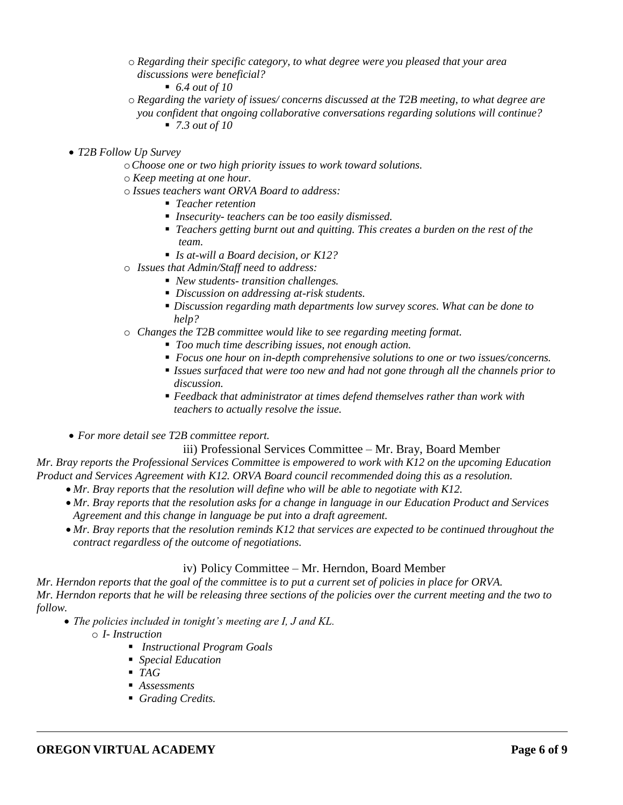- o *Regarding their specific category, to what degree were you pleased that your area discussions were beneficial?*
	- *6.4 out of 10*
- o *Regarding the variety of issues/ concerns discussed at the T2B meeting, to what degree are you confident that ongoing collaborative conversations regarding solutions will continue?*
	- *7.3 out of 10*
- *T2B Follow Up Survey*
	- o*Choose one or two high priority issues to work toward solutions.*
	- o *Keep meeting at one hour.*
	- o *Issues teachers want ORVA Board to address:*
		- *Teacher retention*
		- *Insecurity- teachers can be too easily dismissed.*
		- *Teachers getting burnt out and quitting. This creates a burden on the rest of the team.*
		- *Is at-will a Board decision, or K12?*
	- o *Issues that Admin/Staff need to address:*
		- *New students- transition challenges.*
		- *Discussion on addressing at-risk students.*
		- *Discussion regarding math departments low survey scores. What can be done to help?*
	- o *Changes the T2B committee would like to see regarding meeting format.*
		- *Too much time describing issues, not enough action.*
		- *Focus one hour on in-depth comprehensive solutions to one or two issues/concerns.*
		- *Issues surfaced that were too new and had not gone through all the channels prior to discussion.*
		- *Feedback that administrator at times defend themselves rather than work with teachers to actually resolve the issue.*
- *For more detail see T2B committee report.*

#### iii) Professional Services Committee – Mr. Bray, Board Member

*Mr. Bray reports the Professional Services Committee is empowered to work with K12 on the upcoming Education Product and Services Agreement with K12. ORVA Board council recommended doing this as a resolution.* 

- *Mr. Bray reports that the resolution will define who will be able to negotiate with K12.*
- *Mr. Bray reports that the resolution asks for a change in language in our Education Product and Services Agreement and this change in language be put into a draft agreement.*
- *Mr. Bray reports that the resolution reminds K12 that services are expected to be continued throughout the contract regardless of the outcome of negotiations.*

### iv) Policy Committee – Mr. Herndon, Board Member

*Mr. Herndon reports that the goal of the committee is to put a current set of policies in place for ORVA. Mr. Herndon reports that he will be releasing three sections of the policies over the current meeting and the two to follow.*

- *The policies included in tonight's meeting are I, J and KL.*
	- o *I- Instruction*
		- *Instructional Program Goals*
		- *Special Education*
		- *TAG*
		- *Assessments*
		- *Grading Credits.*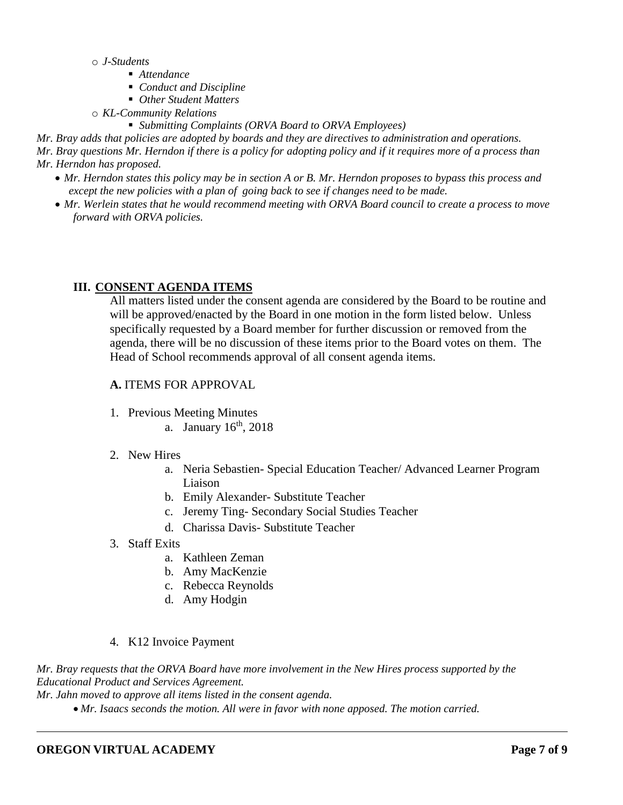- o *J-Students*
	- *Attendance*
	- *Conduct and Discipline*
	- *Other Student Matters*
- o *KL-Community Relations*
	- *Submitting Complaints (ORVA Board to ORVA Employees)*

*Mr. Bray adds that policies are adopted by boards and they are directives to administration and operations. Mr. Bray questions Mr. Herndon if there is a policy for adopting policy and if it requires more of a process than Mr. Herndon has proposed.*

- *Mr. Herndon states this policy may be in section A or B. Mr. Herndon proposes to bypass this process and except the new policies with a plan of going back to see if changes need to be made.*
- *Mr. Werlein states that he would recommend meeting with ORVA Board council to create a process to move forward with ORVA policies.*

### **III. CONSENT AGENDA ITEMS**

All matters listed under the consent agenda are considered by the Board to be routine and will be approved/enacted by the Board in one motion in the form listed below. Unless specifically requested by a Board member for further discussion or removed from the agenda, there will be no discussion of these items prior to the Board votes on them. The Head of School recommends approval of all consent agenda items.

### **A.** ITEMS FOR APPROVAL

- 1. Previous Meeting Minutes
	- a. January  $16<sup>th</sup>$ , 2018

### 2. New Hires

- a. Neria Sebastien- Special Education Teacher/ Advanced Learner Program Liaison
- b. Emily Alexander- Substitute Teacher
- c. Jeremy Ting- Secondary Social Studies Teacher
- d. Charissa Davis- Substitute Teacher
- 3. Staff Exits
	- a. Kathleen Zeman
	- b. Amy MacKenzie
	- c. Rebecca Reynolds
	- d. Amy Hodgin
- 4. K12 Invoice Payment

*Mr. Bray requests that the ORVA Board have more involvement in the New Hires process supported by the Educational Product and Services Agreement.*

*Mr. Jahn moved to approve all items listed in the consent agenda.*

*Mr. Isaacs seconds the motion. All were in favor with none apposed. The motion carried.*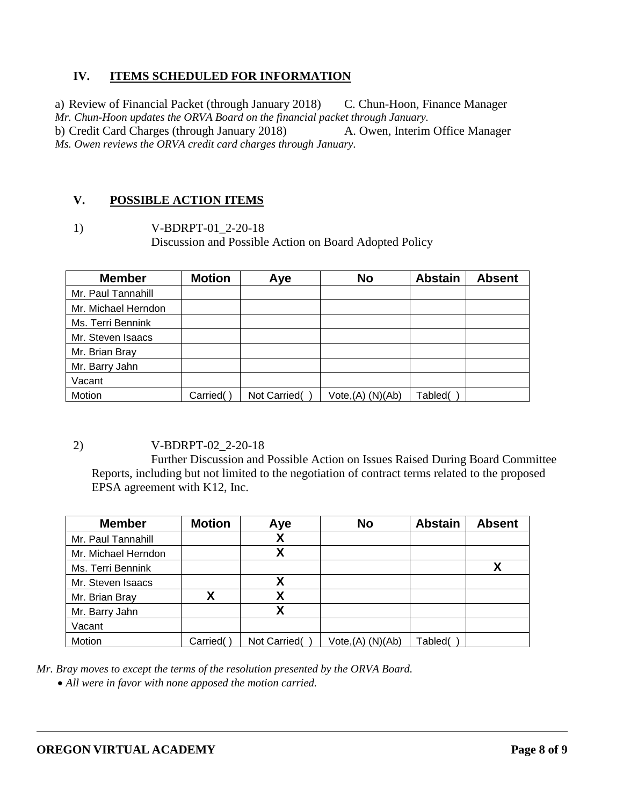# **IV. ITEMS SCHEDULED FOR INFORMATION**

a) Review of Financial Packet (through January 2018) C. Chun-Hoon, Finance Manager *Mr. Chun-Hoon updates the ORVA Board on the financial packet through January.*  b) Credit Card Charges (through January 2018) A. Owen, Interim Office Manager *Ms. Owen reviews the ORVA credit card charges through January.* 

### **V. POSSIBLE ACTION ITEMS**

1) V-BDRPT-01\_2-20-18 Discussion and Possible Action on Board Adopted Policy

| <b>Member</b>       | <b>Motion</b> | Aye          | <b>No</b>         | <b>Abstain</b> | <b>Absent</b> |
|---------------------|---------------|--------------|-------------------|----------------|---------------|
| Mr. Paul Tannahill  |               |              |                   |                |               |
| Mr. Michael Herndon |               |              |                   |                |               |
| Ms. Terri Bennink   |               |              |                   |                |               |
| Mr. Steven Isaacs   |               |              |                   |                |               |
| Mr. Brian Bray      |               |              |                   |                |               |
| Mr. Barry Jahn      |               |              |                   |                |               |
| Vacant              |               |              |                   |                |               |
| Motion              | Carried(      | Not Carried( | Vote, (A) (N)(Ab) | Tabled(        |               |

2) V-BDRPT-02\_2-20-18

Further Discussion and Possible Action on Issues Raised During Board Committee Reports, including but not limited to the negotiation of contract terms related to the proposed EPSA agreement with K12, Inc.

| <b>Member</b>       | <b>Motion</b> | Aye          | <b>No</b>         | <b>Abstain</b> | <b>Absent</b> |
|---------------------|---------------|--------------|-------------------|----------------|---------------|
| Mr. Paul Tannahill  |               | X            |                   |                |               |
| Mr. Michael Herndon |               | χ            |                   |                |               |
| Ms. Terri Bennink   |               |              |                   |                | Χ             |
| Mr. Steven Isaacs   |               | Χ            |                   |                |               |
| Mr. Brian Bray      | x             | χ            |                   |                |               |
| Mr. Barry Jahn      |               | Χ            |                   |                |               |
| Vacant              |               |              |                   |                |               |
| Motion              | Carried(      | Not Carried( | Vote, (A) (N)(Ab) | Tabled(        |               |

*Mr. Bray moves to except the terms of the resolution presented by the ORVA Board.*

*All were in favor with none apposed the motion carried.*